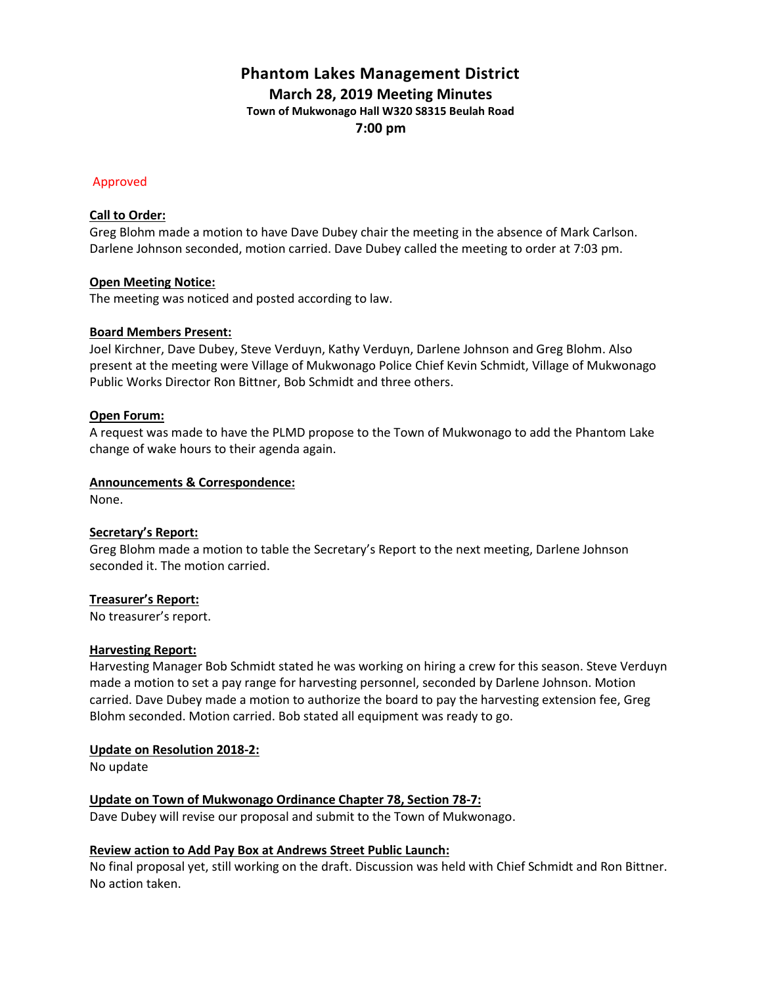# **Phantom Lakes Management District March 28, 2019 Meeting Minutes Town of Mukwonago Hall W320 S8315 Beulah Road 7:00 pm**

## Approved

### **Call to Order:**

Greg Blohm made a motion to have Dave Dubey chair the meeting in the absence of Mark Carlson. Darlene Johnson seconded, motion carried. Dave Dubey called the meeting to order at 7:03 pm.

## **Open Meeting Notice:**

The meeting was noticed and posted according to law.

## **Board Members Present:**

Joel Kirchner, Dave Dubey, Steve Verduyn, Kathy Verduyn, Darlene Johnson and Greg Blohm. Also present at the meeting were Village of Mukwonago Police Chief Kevin Schmidt, Village of Mukwonago Public Works Director Ron Bittner, Bob Schmidt and three others.

## **Open Forum:**

A request was made to have the PLMD propose to the Town of Mukwonago to add the Phantom Lake change of wake hours to their agenda again.

### **Announcements & Correspondence:**

None.

# **Secretary's Report:**

Greg Blohm made a motion to table the Secretary's Report to the next meeting, Darlene Johnson seconded it. The motion carried.

# **Treasurer's Report:**

No treasurer's report.

# **Harvesting Report:**

Harvesting Manager Bob Schmidt stated he was working on hiring a crew for this season. Steve Verduyn made a motion to set a pay range for harvesting personnel, seconded by Darlene Johnson. Motion carried. Dave Dubey made a motion to authorize the board to pay the harvesting extension fee, Greg Blohm seconded. Motion carried. Bob stated all equipment was ready to go.

#### **Update on Resolution 2018-2:**

No update

# **Update on Town of Mukwonago Ordinance Chapter 78, Section 78-7:**

Dave Dubey will revise our proposal and submit to the Town of Mukwonago.

# **Review action to Add Pay Box at Andrews Street Public Launch:**

No final proposal yet, still working on the draft. Discussion was held with Chief Schmidt and Ron Bittner. No action taken.